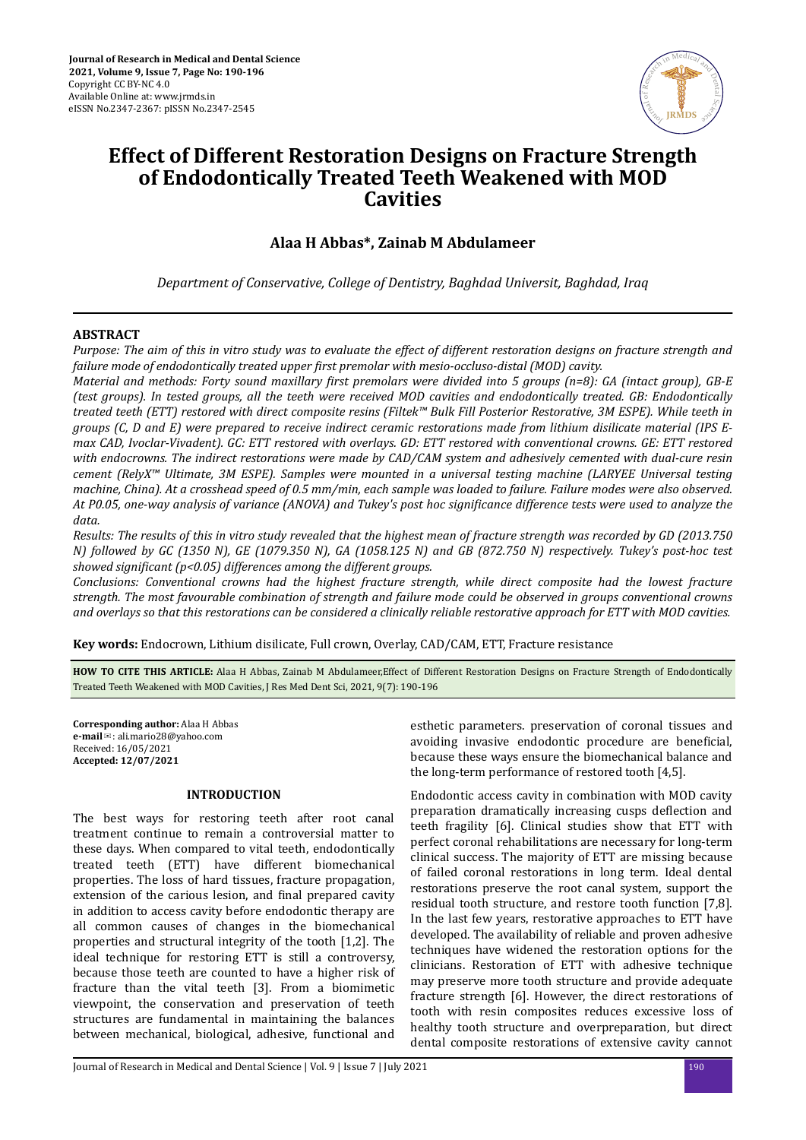

# **Effect of Different Restoration Designs on Fracture Strength of Endodontically Treated Teeth Weakened with MOD Cavities**

**Alaa H Abbas\*, Zainab M Abdulameer**

*Department of Conservative, College of Dentistry, Baghdad Universit, Baghdad, Iraq*

# **ABSTRACT**

*Purpose: The aim of this in vitro study was to evaluate the effect of different restoration designs on fracture strength and failure mode of endodontically treated upper ϔrst premolar with mesio-occluso-distal (MOD) cavity.*

*Material and methods: Forty sound maxillary ϔrst premolars were divided into 5 groups (n=8): GA (intact group), GB-E (test groups). In tested groups, all the teeth were received MOD cavities and endodontically treated. GB: Endodontically treated teeth (ETT) restored with direct composite resins (Filtek™ Bulk Fill Posterior Restorative, 3M ESPE). While teeth in groups (C, D and E) were prepared to receive indirect ceramic restorations made from lithium disilicate material (IPS Emax CAD, Ivoclar-Vivadent). GC: ETT restored with overlays. GD: ETT restored with conventional crowns. GE: ETT restored with endocrowns. The indirect restorations were made by CAD/CAM system and adhesively cemented with dual-cure resin cement (RelyX™ Ultimate, 3M ESPE). Samples were mounted in a universal testing machine (LARYEE Universal testing machine, China). At a crosshead speed of 0.5 mm/min, each sample was loaded to failure. Failure modes were also observed. At P0.05, one-way analysis of variance (ANOVA) and Tukey's post hoc sϔ difference tests were used to analyze the data.*

*Results: The results of this in vitro study revealed that the highest mean of fracture strength was recorded by GD (2013.750 N) followed by GC (1350 N), GE (1079.350 N), GA (1058.125 N) and GB (872.750 N) respectively. Tukey's post-hoc test showed significant (p<0.05) differences among the different groups.* 

*Conclusions: Conventional crowns had the highest fracture strength, while direct composite had the lowest fracture strength. The most favourable combination of strength and failure mode could be observed in groups conventional crowns and overlays so that this restorations can be considered a clinically reliable restorative approach for ETT with MOD cavities.*

**Key words:** Endocrown, Lithium disilicate, Full crown, Overlay, CAD/CAM, ETT, Fracture resistance

**HOW TO CITE THIS ARTICLE:** Alaa H Abbas, Zainab M Abdulameer,Effect of Different Restoration Designs on Fracture Strength of Endodontically Treated Teeth Weakened with MOD Cavities, J Res Med Dent Sci, 2021, 9(7): 190-196

**Corresponding author:** Alaa H Abbas **e-mail**✉: ali.mario28@yahoo.com Received: 16/05/2021 **Accepted: 12/07/2021** 

## **INTRODUCTION**

The best ways for restoring teeth after root canal treatment continue to remain a controversial matter to these days. When compared to vital teeth, endodontically treated teeth (ETT) have different biomechanical properties. The loss of hard tissues, fracture propagation, extension of the carious lesion, and final prepared cavity in addition to access cavity before endodontic therapy are all common causes of changes in the biomechanical properties and structural integrity of the tooth [1,2]. The ideal technique for restoring ETT is still a controversy, because those teeth are counted to have a higher risk of fracture than the vital teeth [3]. From a biomimetic viewpoint, the conservation and preservation of teeth structures are fundamental in maintaining the balances between mechanical, biological, adhesive, functional and

esthetic parameters. preservation of coronal tissues and avoiding invasive endodontic procedure are beneficial, because these ways ensure the biomechanical balance and the long-term performance of restored tooth [4,5].

Endodontic access cavity in combination with MOD cavity preparation dramatically increasing cusps deflection and teeth fragility [6]. Clinical studies show that ETT with perfect coronal rehabilitations are necessary for long-term clinical success. The majority of ETT are missing because of failed coronal restorations in long term. Ideal dental restorations preserve the root canal system, support the residual tooth structure, and restore tooth function [7,8]. In the last few years, restorative approaches to ETT have developed. The availability of reliable and proven adhesive techniques have widened the restoration options for the clinicians. Restoration of ETT with adhesive technique may preserve more tooth structure and provide adequate fracture strength [6]. However, the direct restorations of tooth with resin composites reduces excessive loss of healthy tooth structure and overpreparation, but direct dental composite restorations of extensive cavity cannot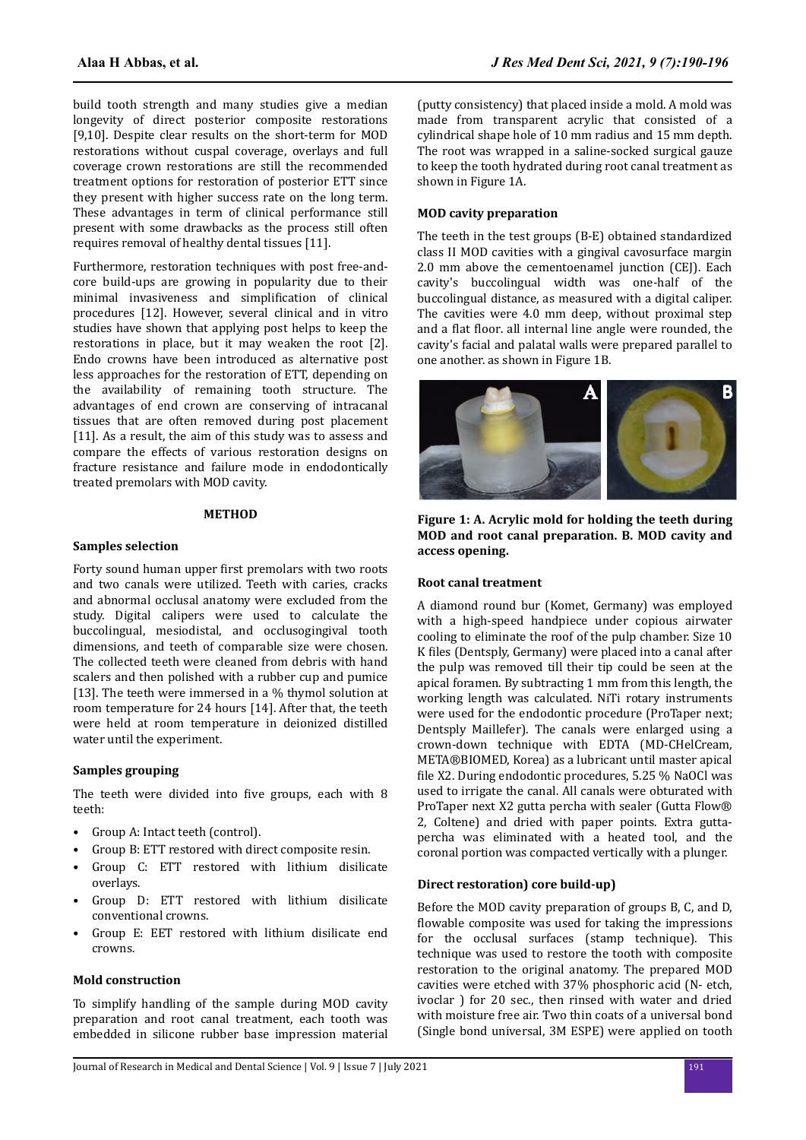build tooth strength and many studies give a median longevity of direct posterior composite restorations [9,10]. Despite clear results on the short-term for MOD restorations without cuspal coverage, overlays and full coverage crown restorations are still the recommended treatment options for restoration of posterior ETT since they present with higher success rate on the long term. These advantages in term of clinical performance still present with some drawbacks as the process still often requires removal of healthy dental tissues [11].

Furthermore, restoration techniques with post free-andcore build-ups are growing in popularity due to their minimal invasiveness and simplification of clinical procedures [12]. However, several clinical and in vitro studies have shown that applying post helps to keep the restorations in place, but it may weaken the root [2]. Endo crowns have been introduced as alternative post less approaches for the restoration of ETT, depending on the availability of remaining tooth structure. The advantages of end crown are conserving of intracanal tissues that are often removed during post placement [11]. As a result, the aim of this study was to assess and compare the effects of various restoration designs on fracture resistance and failure mode in endodontically treated premolars with MOD cavity.

## **METHOD**

#### **Samples selection**

Forty sound human upper first premolars with two roots and two canals were utilized. Teeth with caries, cracks and abnormal occlusal anatomy were excluded from the study. Digital calipers were used to calculate the buccolingual, mesiodistal, and occlusogingival tooth dimensions, and teeth of comparable size were chosen. The collected teeth were cleaned from debris with hand scalers and then polished with a rubber cup and pumice [13]. The teeth were immersed in a % thymol solution at room temperature for 24 hours [14]. After that, the teeth were held at room temperature in deionized distilled water until the experiment.

#### **Samples grouping**

The teeth were divided into five groups, each with 8 teeth:

- Group A: Intact teeth (control).
- Group B: ETT restored with direct composite resin.
- Group C: ETT restored with lithium disilicate overlays.
- Group D: ETT restored with lithium disilicate conventional crowns.
- Group E: EET restored with lithium disilicate end crowns.

#### **Mold construction**

To simplify handling of the sample during MOD cavity preparation and root canal treatment, each tooth was embedded in silicone rubber base impression material (putty consistency) that placed inside a mold. A mold was made from transparent acrylic that consisted of a cylindrical shape hole of 10 mm radius and 15 mm depth. The root was wrapped in a saline-socked surgical gauze to keep the tooth hydrated during root canal treatment as shown in Figure 1A.

#### **MOD cavity preparation**

The teeth in the test groups (B-E) obtained standardized class II MOD cavities with a gingival cavosurface margin 2.0 mm above the cementoenamel junction (CEJ). Each cavity's buccolingual width was one-half of the buccolingual distance, as measured with a digital caliper. The cavities were 4.0 mm deep, without proximal step and a flat floor. all internal line angle were rounded, the cavity's facial and palatal walls were prepared parallel to one another. as shown in Figure 1B.



**Figure 1: A. Acrylic mold for holding the teeth during MOD and root canal preparation. B. MOD cavity and access opening.**

#### **Root canal treatment**

A diamond round bur (Komet, Germany) was employed with a high-speed handpiece under copious airwater cooling to eliminate the roof of the pulp chamber. Size 10 K files (Dentsply, Germany) were placed into a canal after the pulp was removed till their tip could be seen at the apical foramen. By subtracting 1 mm from this length, the working length was calculated. NiTi rotary instruments were used for the endodontic procedure (ProTaper next; Dentsply Maillefer). The canals were enlarged using a crown-down technique with EDTA (MD-CHelCream, META®BIOMED, Korea) as a lubricant until master apical file X2. During endodontic procedures, 5.25 % NaOCl was used to irrigate the canal. All canals were obturated with ProTaper next X2 gutta percha with sealer (Gutta Flow® 2, Coltene) and dried with paper points. Extra guttapercha was eliminated with a heated tool, and the coronal portion was compacted vertically with a plunger.

#### **Direct restoration) core build-up)**

Before the MOD cavity preparation of groups B, C, and D, flowable composite was used for taking the impressions for the occlusal surfaces (stamp technique). This technique was used to restore the tooth with composite restoration to the original anatomy. The prepared MOD cavities were etched with 37% phosphoric acid (N- etch, ivoclar ) for 20 sec., then rinsed with water and dried with moisture free air. Two thin coats of a universal bond (Single bond universal, 3M ESPE) were applied on tooth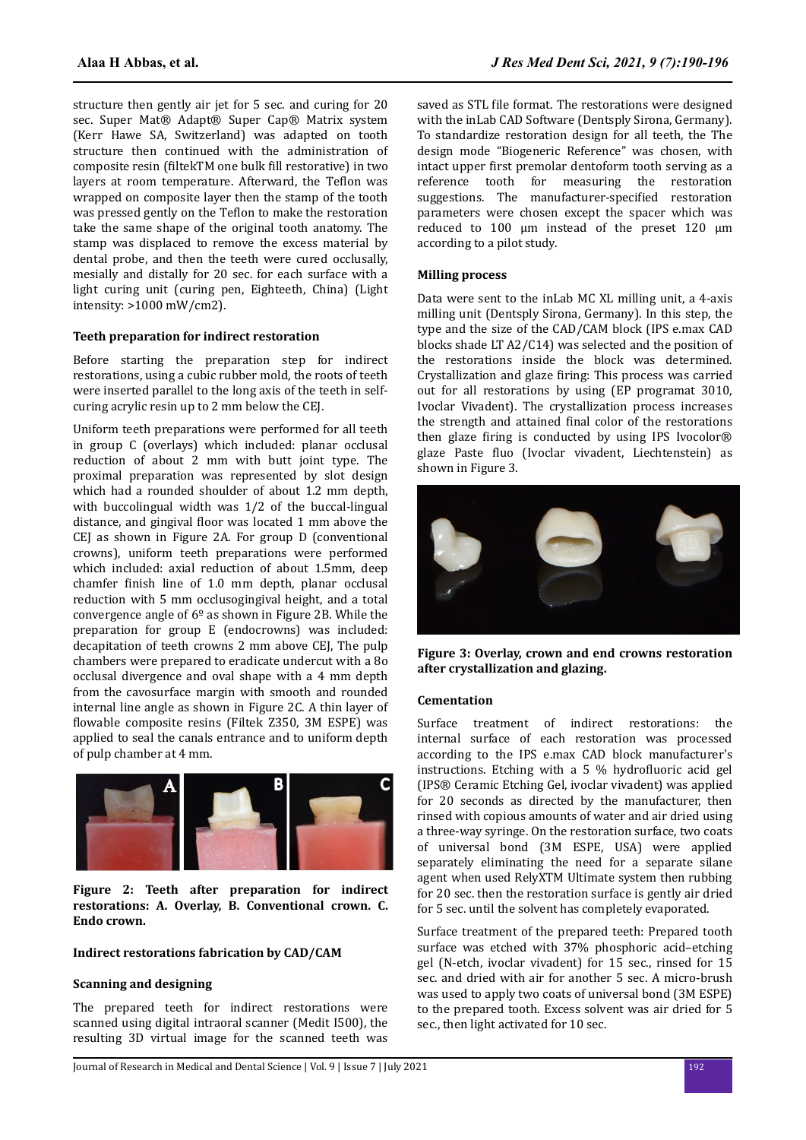structure then gently air jet for 5 sec. and curing for 20 sec. Super Mat® Adapt® Super Cap® Matrix system (Kerr Hawe SA, Switzerland) was adapted on tooth structure then continued with the administration of composite resin (filtek TM one bulk fill restorative) in two layers at room temperature. Afterward, the Teflon was wrapped on composite layer then the stamp of the tooth was pressed gently on the Teflon to make the restoration take the same shape of the original tooth anatomy. The stamp was displaced to remove the excess material by dental probe, and then the teeth were cured occlusally, mesially and distally for 20 sec. for each surface with a light curing unit (curing pen, Eighteeth, China) (Light intensity: >1000 mW/cm2).

## **Teeth preparation for indirect restoration**

Before starting the preparation step for indirect restorations, using a cubic rubber mold, the roots of teeth were inserted parallel to the long axis of the teeth in selfcuring acrylic resin up to 2 mm below the CEJ.

Uniform teeth preparations were performed for all teeth in group C (overlays) which included: planar occlusal reduction of about 2 mm with butt joint type. The proximal preparation was represented by slot design which had a rounded shoulder of about 1.2 mm depth, with buccolingual width was 1/2 of the buccal-lingual distance, and gingival floor was located 1 mm above the CEJ as shown in Figure 2A. For group D (conventional crowns), uniform teeth preparations were performed which included: axial reduction of about 1.5mm, deep chamfer finish line of 1.0 mm depth, planar occlusal reduction with 5 mm occlusogingival height, and a total convergence angle of  $6^{\circ}$  as shown in Figure 2B. While the preparation for group E (endocrowns) was included: decapitation of teeth crowns 2 mm above CEJ, The pulp chambers were prepared to eradicate undercut with a 8o occlusal divergence and oval shape with a 4 mm depth from the cavosurface margin with smooth and rounded internal line angle as shown in Figure 2C. A thin layer of flowable composite resins (Filtek Z350, 3M ESPE) was applied to seal the canals entrance and to uniform depth of pulp chamber at 4 mm.



**Figure 2: Teeth after preparation for indirect restorations: A. Overlay, B. Conventional crown. C. Endo crown.**

#### **Indirect restorations fabrication by CAD/CAM**

## **Scanning and designing**

The prepared teeth for indirect restorations were scanned using digital intraoral scanner (Medit I500), the resulting 3D virtual image for the scanned teeth was saved as STL file format. The restorations were designed with the inLab CAD Software (Dentsply Sirona, Germany). To standardize restoration design for all teeth, the The design mode "Biogeneric Reference" was chosen, with intact upper first premolar dentoform tooth serving as a reference tooth for measuring the restoration suggestions. The manufacturer-specified restoration parameters were chosen except the spacer which was reduced to 100 μm instead of the preset 120 μm according to a pilot study.

### **Milling process**

Data were sent to the inLab MC XL milling unit, a 4-axis milling unit (Dentsply Sirona, Germany). In this step, the type and the size of the CAD/CAM block (IPS e.max CAD blocks shade LT A2/C14) was selected and the position of the restorations inside the block was determined. Crystallization and glaze firing: This process was carried out for all restorations by using (EP programat 3010, Ivoclar Vivadent). The crystallization process increases the strength and attained final color of the restorations then glaze firing is conducted by using IPS Ivocolor® glaze Paste fluo (Ivoclar vivadent, Liechtenstein) as shown in Figure 3.



**Figure 3: Overlay, crown and end crowns restoration after crystallization and glazing.**

#### **Cementation**

Surface treatment of indirect restorations: the internal surface of each restoration was processed according to the IPS e.max CAD block manufacturer's instructions. Etching with a 5  $%$  hydrofluoric acid gel (IPS® Ceramic Etching Gel, ivoclar vivadent) was applied for 20 seconds as directed by the manufacturer, then rinsed with copious amounts of water and air dried using a three-way syringe. On the restoration surface, two coats of universal bond (3M ESPE, USA) were applied separately eliminating the need for a separate silane agent when used RelyXTM Ultimate system then rubbing for 20 sec. then the restoration surface is gently air dried for 5 sec. until the solvent has completely evaporated.

Surface treatment of the prepared teeth: Prepared tooth surface was etched with 37% phosphoric acid–etching gel (N-etch, ivoclar vivadent) for 15 sec., rinsed for 15 sec. and dried with air for another 5 sec. A micro-brush was used to apply two coats of universal bond (3M ESPE) to the prepared tooth. Excess solvent was air dried for 5 sec., then light activated for 10 sec.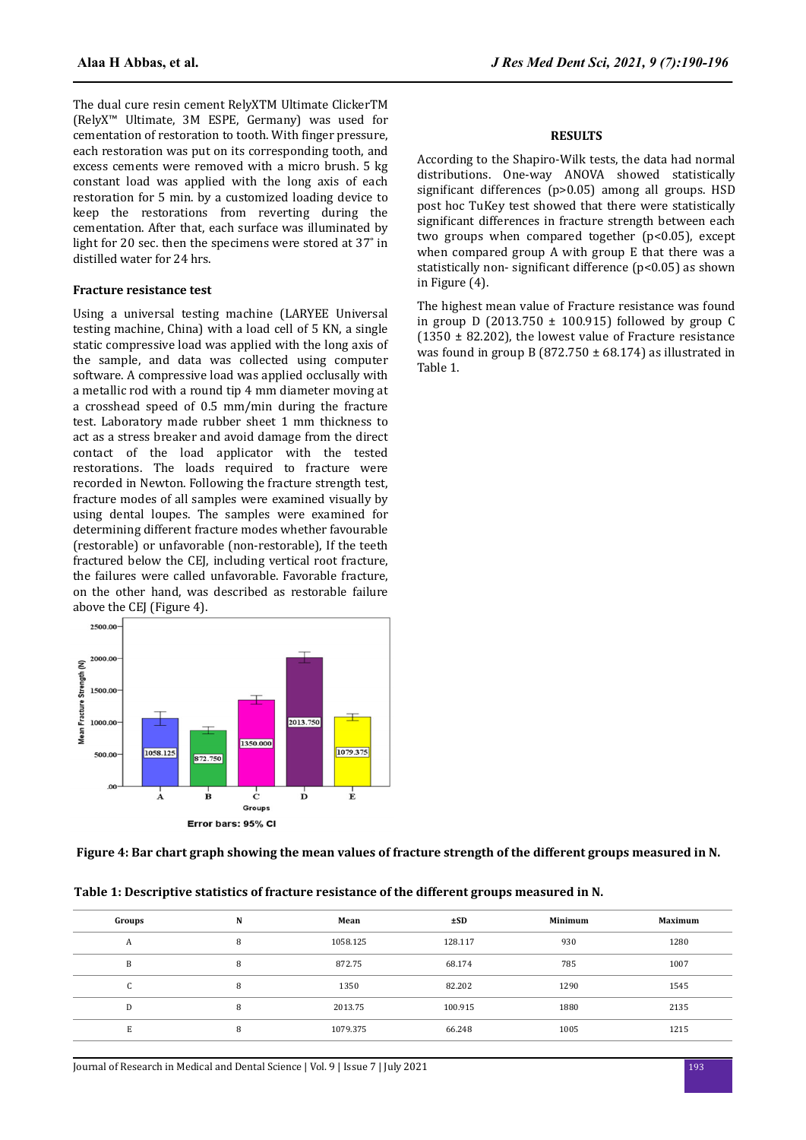The dual cure resin cement RelyXTM Ultimate ClickerTM (RelyX™ Ultimate, 3M ESPE, Germany) was used for cementation of restoration to tooth. With finger pressure, each restoration was put on its corresponding tooth, and excess cements were removed with a micro brush. 5 kg constant load was applied with the long axis of each restoration for 5 min. by a customized loading device to keep the restorations from reverting during the cementation. After that, each surface was illuminated by light for 20 sec. then the specimens were stored at 37˚ in distilled water for 24 hrs.

## **Fracture resistance test**

Using a universal testing machine (LARYEE Universal testing machine, China) with a load cell of 5 KN, a single static compressive load was applied with the long axis of the sample, and data was collected using computer software. A compressive load was applied occlusally with a metallic rod with a round tip 4 mm diameter moving at a crosshead speed of 0.5 mm/min during the fracture test. Laboratory made rubber sheet 1 mm thickness to act as a stress breaker and avoid damage from the direct contact of the load applicator with the tested restorations. The loads required to fracture were recorded in Newton. Following the fracture strength test, fracture modes of all samples were examined visually by using dental loupes. The samples were examined for determining different fracture modes whether favourable (restorable) or unfavorable (non-restorable), If the teeth fractured below the CEJ, including vertical root fracture, the failures were called unfavorable. Favorable fracture, on the other hand, was described as restorable failure above the CEJ (Figure 4).



## **RESULTS**

According to the Shapiro-Wilk tests, the data had normal distributions. One-way ANOVA showed statistically significant differences (p>0.05) among all groups. HSD post hoc TuKey test showed that there were statistically significant differences in fracture strength between each two groups when compared together (p<0.05), except when compared group A with group E that there was a statistically non- significant difference ( $p<0.05$ ) as shown in Figure (4).

The highest mean value of Fracture resistance was found in group D (2013.750  $\pm$  100.915) followed by group C  $(1350 \pm 82.202)$ , the lowest value of Fracture resistance was found in group B (872.750  $\pm$  68.174) as illustrated in Table 1.

# **Figure 4: Bar chart graph showing the mean values of fracture strength of the different groups measured in N.**

| Groups          | N | Mean     | ±SD     | Minimum | <b>Maximum</b> |
|-----------------|---|----------|---------|---------|----------------|
| A               | 8 | 1058.125 | 128.117 | 930     | 1280           |
| B               |   | 872.75   | 68.174  | 785     | 1007           |
| $\sqrt{ }$<br>u |   | 1350     | 82.202  | 1290    | 1545           |
| D               |   | 2013.75  | 100.915 | 1880    | 2135           |
| E               |   | 1079.375 | 66.248  | 1005    | 1215           |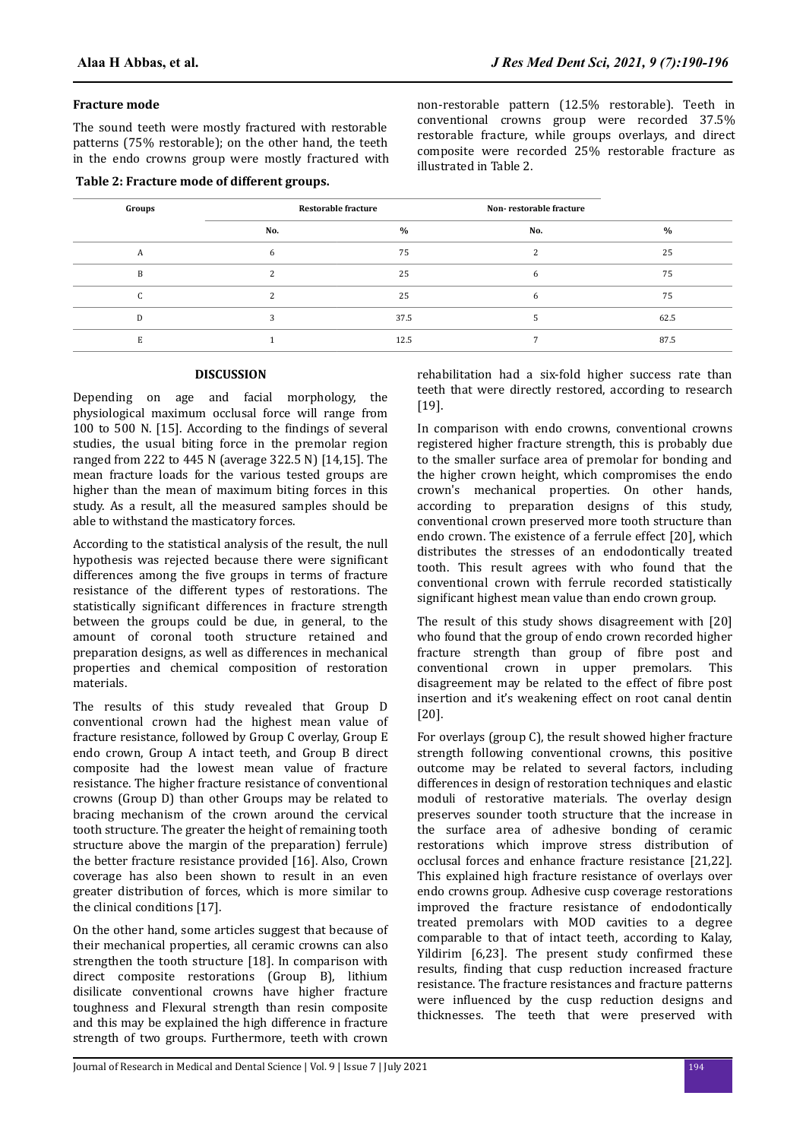## **Fracture mode**

The sound teeth were mostly fractured with restorable patterns (75% restorable); on the other hand, the teeth in the endo crowns group were mostly fractured with

#### **Table 2: Fracture mode of different groups.**

non-restorable pattern (12.5% restorable). Teeth in conventional crowns group were recorded 37.5% restorable fracture, while groups overlays, and direct composite were recorded 25% restorable fracture as illustrated in Table 2.

| Groups | <b>Restorable fracture</b> |      | Non-restorable fracture |      |
|--------|----------------------------|------|-------------------------|------|
|        | No.                        | $\%$ | No.                     | $\%$ |
|        | 6                          | 75   |                         | 25   |
| B      |                            | 25   | b                       | 75   |
|        |                            | 25   |                         | 75   |
| n      |                            | 37.5 |                         | 62.5 |
|        |                            | 12.5 |                         | 87.5 |

# **DISCUSSION**

Depending on age and facial morphology, the physiological maximum occlusal force will range from 100 to 500 N.  $[15]$ . According to the findings of several studies, the usual biting force in the premolar region ranged from 222 to 445 N (average 322.5 N) [14,15]. The mean fracture loads for the various tested groups are higher than the mean of maximum biting forces in this study. As a result, all the measured samples should be able to withstand the masticatory forces.

According to the statistical analysis of the result, the null hypothesis was rejected because there were significant differences among the five groups in terms of fracture resistance of the different types of restorations. The statistically significant differences in fracture strength between the groups could be due, in general, to the amount of coronal tooth structure retained and preparation designs, as well as differences in mechanical properties and chemical composition of restoration materials.

The results of this study revealed that Group D conventional crown had the highest mean value of fracture resistance, followed by Group C overlay, Group E endo crown, Group A intact teeth, and Group B direct composite had the lowest mean value of fracture resistance. The higher fracture resistance of conventional crowns (Group D) than other Groups may be related to bracing mechanism of the crown around the cervical tooth structure. The greater the height of remaining tooth structure above the margin of the preparation) ferrule) the better fracture resistance provided [16]. Also, Crown coverage has also been shown to result in an even greater distribution of forces, which is more similar to the clinical conditions [17].

On the other hand, some articles suggest that because of their mechanical properties, all ceramic crowns can also strengthen the tooth structure [18]. In comparison with direct composite restorations (Group B), lithium disilicate conventional crowns have higher fracture toughness and Flexural strength than resin composite and this may be explained the high difference in fracture strength of two groups. Furthermore, teeth with crown

rehabilitation had a six-fold higher success rate than teeth that were directly restored, according to research [19].

In comparison with endo crowns, conventional crowns registered higher fracture strength, this is probably due to the smaller surface area of premolar for bonding and the higher crown height, which compromises the endo crown's mechanical properties. On other hands, according to preparation designs of this study, conventional crown preserved more tooth structure than endo crown. The existence of a ferrule effect [20], which distributes the stresses of an endodontically treated tooth. This result agrees with who found that the conventional crown with ferrule recorded statistically significant highest mean value than endo crown group.

The result of this study shows disagreement with [20] who found that the group of endo crown recorded higher fracture strength than group of fibre post and conventional crown in upper premolars. This disagreement may be related to the effect of fibre post insertion and it's weakening effect on root canal dentin [20].

For overlays (group C), the result showed higher fracture strength following conventional crowns, this positive outcome may be related to several factors, including differences in design of restoration techniques and elastic moduli of restorative materials. The overlay design preserves sounder tooth structure that the increase in the surface area of adhesive bonding of ceramic restorations which improve stress distribution of occlusal forces and enhance fracture resistance [21,22]. This explained high fracture resistance of overlays over endo crowns group. Adhesive cusp coverage restorations improved the fracture resistance of endodontically treated premolars with MOD cavities to a degree comparable to that of intact teeth, according to Kalay, Yildirim [6,23]. The present study confirmed these results, finding that cusp reduction increased fracture resistance. The fracture resistances and fracture patterns were influenced by the cusp reduction designs and thicknesses. The teeth that were preserved with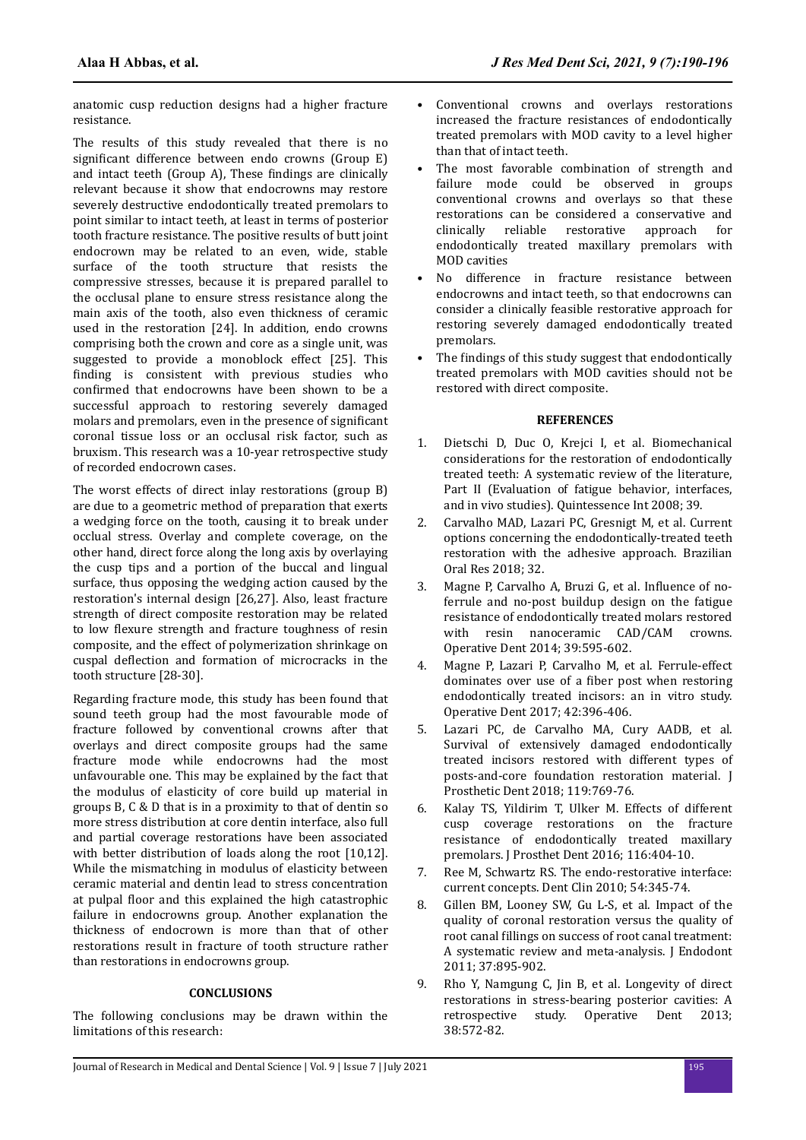anatomic cusp reduction designs had a higher fracture resistance.

The results of this study revealed that there is no significant difference between endo crowns (Group E) and intact teeth (Group A), These findings are clinically relevant because it show that endocrowns may restore severely destructive endodontically treated premolars to point similar to intact teeth, at least in terms of posterior tooth fracture resistance. The positive results of butt joint endocrown may be related to an even, wide, stable surface of the tooth structure that resists the compressive stresses, because it is prepared parallel to the occlusal plane to ensure stress resistance along the main axis of the tooth, also even thickness of ceramic used in the restoration [24]. In addition, endo crowns comprising both the crown and core as a single unit, was suggested to provide a monoblock effect [25]. This finding is consistent with previous studies who confirmed that endocrowns have been shown to be a successful approach to restoring severely damaged molars and premolars, even in the presence of significant coronal tissue loss or an occlusal risk factor, such as bruxism. This research was a 10-year retrospective study of recorded endocrown cases.

The worst effects of direct inlay restorations (group B) are due to a geometric method of preparation that exerts a wedging force on the tooth, causing it to break under occlual stress. Overlay and complete coverage, on the other hand, direct force along the long axis by overlaying the cusp tips and a portion of the buccal and lingual surface, thus opposing the wedging action caused by the restoration's internal design [26,27]. Also, least fracture strength of direct composite restoration may be related to low flexure strength and fracture toughness of resin composite, and the effect of polymerization shrinkage on cuspal deflection and formation of microcracks in the tooth structure [28-30].

Regarding fracture mode, this study has been found that sound teeth group had the most favourable mode of fracture followed by conventional crowns after that overlays and direct composite groups had the same fracture mode while endocrowns had the most unfavourable one. This may be explained by the fact that the modulus of elasticity of core build up material in groups B, C & D that is in a proximity to that of dentin so more stress distribution at core dentin interface, also full and partial coverage restorations have been associated with better distribution of loads along the root [10,12]. While the mismatching in modulus of elasticity between ceramic material and dentin lead to stress concentration at pulpal floor and this explained the high catastrophic failure in endocrowns group. Another explanation the thickness of endocrown is more than that of other restorations result in fracture of tooth structure rather than restorations in endocrowns group.

# **CONCLUSIONS**

The following conclusions may be drawn within the limitations of this research:

- Conventional crowns and overlays restorations increased the fracture resistances of endodontically treated premolars with MOD cavity to a level higher than that of intact teeth.
- The most favorable combination of strength and failure mode could be observed in groups conventional crowns and overlays so that these restorations can be considered a conservative and clinically reliable restorative approach for endodontically treated maxillary premolars with MOD cavities
- No difference in fracture resistance between endocrowns and intact teeth, so that endocrowns can consider a clinically feasible restorative approach for restoring severely damaged endodontically treated premolars.
- The findings of this study suggest that endodontically treated premolars with MOD cavities should not be restored with direct composite.

# **REFERENCES**

- 1. Dietschi D, Duc O, Krejci I, et al. Biomechanical considerations for the restoration of endodontically treated teeth: A systematic review of the literature, Part II (Evaluation of fatigue behavior, interfaces, and in vivo studies). Quintessence Int 2008; 39.
- 2. Carvalho MAD, Lazari PC, Gresnigt M, et al. Current options concerning the endodontically-treated teeth restoration with the adhesive approach. Brazilian Oral Res 2018; 32.
- 3. Magne P, Carvalho A, Bruzi G, et al. Influence of noferrule and no-post buildup design on the fatigue resistance of endodontically treated molars restored with resin nanoceramic CAD/CAM crowns. Operative Dent 2014; 39:595-602.
- 4. Magne P, Lazari P, Carvalho M, et al. Ferrule-effect dominates over use of a fiber post when restoring endodontically treated incisors: an in vitro study. Operative Dent 2017; 42:396-406.
- 5. Lazari PC, de Carvalho MA, Cury AADB, et al. Survival of extensively damaged endodontically treated incisors restored with different types of posts-and-core foundation restoration material. J Prosthetic Dent 2018; 119:769-76.
- 6. Kalay TS, Yildirim T, Ulker M. Effects of different cusp coverage restorations on the fracture resistance of endodontically treated maxillary premolars. J Prosthet Dent 2016; 116:404-10.
- 7. Ree M, Schwartz RS. The endo-restorative interface: current concepts. Dent Clin 2010; 54:345-74.
- 8. Gillen BM, Looney SW, Gu L-S, et al. Impact of the quality of coronal restoration versus the quality of root canal fillings on success of root canal treatment: A systematic review and meta-analysis. J Endodont 2011; 37:895-902.
- 9. Rho Y, Namgung C, Jin B, et al. Longevity of direct restorations in stress-bearing posterior cavities: A retrospective study. Operative Dent 2013; 38:572-82.